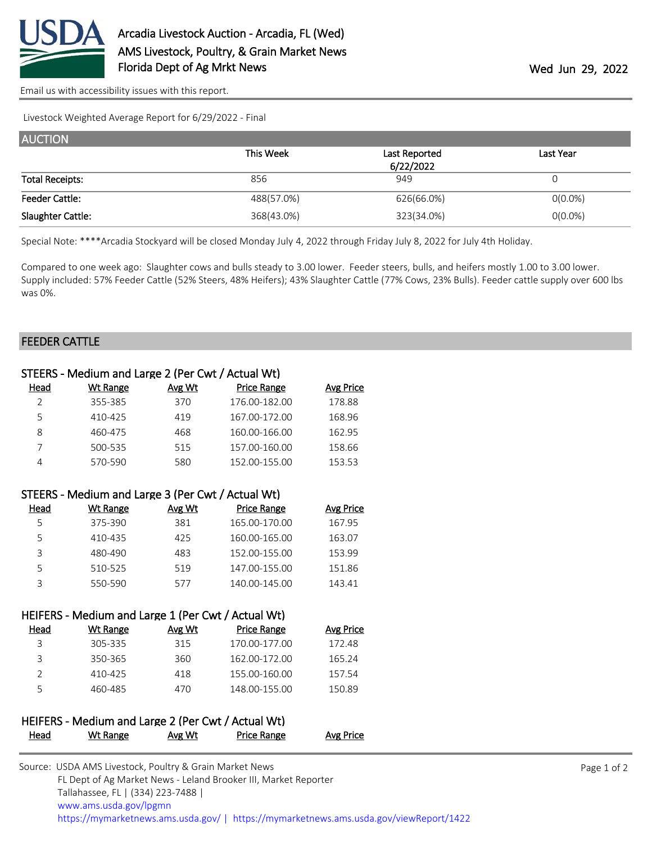

[Email us with accessibility issues with this report.](mailto:mars@ams.usda.gov?subject=508%20issue)

Livestock Weighted Average Report for 6/29/2022 - Final

| <b>AUCTION</b>         |            |               |            |  |  |  |
|------------------------|------------|---------------|------------|--|--|--|
|                        | This Week  | Last Reported | Last Year  |  |  |  |
|                        |            | 6/22/2022     |            |  |  |  |
| <b>Total Receipts:</b> | 856        | 949           | O          |  |  |  |
| <b>Feeder Cattle:</b>  | 488(57.0%) | 626(66.0%)    | $O(0.0\%)$ |  |  |  |
| Slaughter Cattle:      | 368(43.0%) | 323(34.0%)    | $0(0.0\%)$ |  |  |  |

Special Note: \*\*\*\*Arcadia Stockyard will be closed Monday July 4, 2022 through Friday July 8, 2022 for July 4th Holiday.

Compared to one week ago: Slaughter cows and bulls steady to 3.00 lower. Feeder steers, bulls, and heifers mostly 1.00 to 3.00 lower. Supply included: 57% Feeder Cattle (52% Steers, 48% Heifers); 43% Slaughter Cattle (77% Cows, 23% Bulls). Feeder cattle supply over 600 lbs was 0%.

## FEEDER CATTLE

| STEERS - Medium and Large 2 (Per Cwt / Actual Wt)  |                 |               |                    |                  |  |
|----------------------------------------------------|-----------------|---------------|--------------------|------------------|--|
| <u>Head</u>                                        | <b>Wt Range</b> | Avg Wt        | <b>Price Range</b> | <b>Avg Price</b> |  |
| $\overline{2}$                                     | 355-385         | 370           | 176.00-182.00      | 178.88           |  |
| 5                                                  | 410-425         | 419           | 167.00-172.00      | 168.96           |  |
| 8                                                  | 460-475         | 468           | 160.00-166.00      | 162.95           |  |
| 7                                                  | 500-535         | 515           | 157.00-160.00      | 158.66           |  |
| 4                                                  | 570-590         | 580           | 152.00-155.00      | 153.53           |  |
| STEERS - Medium and Large 3 (Per Cwt / Actual Wt)  |                 |               |                    |                  |  |
| Head                                               | <b>Wt Range</b> | Avg Wt        | <b>Price Range</b> | <b>Avg Price</b> |  |
| 5                                                  | 375-390         | 381           | 165.00-170.00      | 167.95           |  |
| 5                                                  | 410-435         | 425           | 160.00-165.00      | 163.07           |  |
| 3                                                  | 480-490         | 483           | 152.00-155.00      | 153.99           |  |
| 5                                                  | 510-525         | 519           | 147.00-155.00      | 151.86           |  |
| 3                                                  | 550-590         | 577           | 140.00-145.00      | 143.41           |  |
| HEIFERS - Medium and Large 1 (Per Cwt / Actual Wt) |                 |               |                    |                  |  |
| Head                                               | <b>Wt Range</b> | Avg Wt        | <b>Price Range</b> | <b>Avg Price</b> |  |
| 3                                                  | 305-335         | 315           | 170.00-177.00      | 172.48           |  |
| 3                                                  | 350-365         | 360           | 162.00-172.00      | 165.24           |  |
| $\overline{2}$                                     | 410-425         | 418           | 155.00-160.00      | 157.54           |  |
| 5                                                  | 460-485         | 470           | 148.00-155.00      | 150.89           |  |
| HEIFERS - Medium and Large 2 (Per Cwt / Actual Wt) |                 |               |                    |                  |  |
| <u>Head</u>                                        | <b>Wt Range</b> | <b>Avg Wt</b> | Price Range        | <b>Avg Price</b> |  |